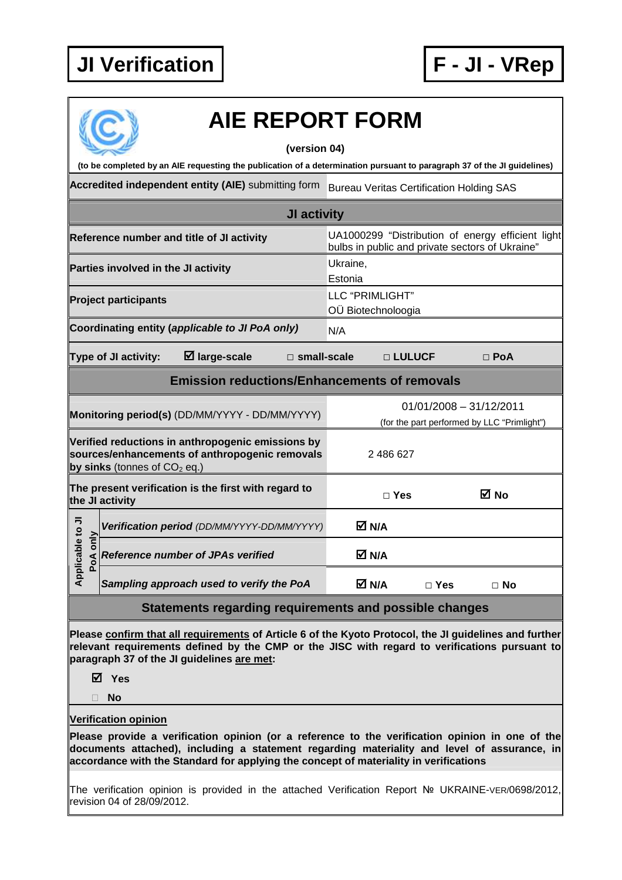

|                                 | <b>AIE REPORT FORM</b><br>(version 04)                                                                                                |                                                                                                                         |  |  |
|---------------------------------|---------------------------------------------------------------------------------------------------------------------------------------|-------------------------------------------------------------------------------------------------------------------------|--|--|
|                                 |                                                                                                                                       | (to be completed by an AIE requesting the publication of a determination pursuant to paragraph 37 of the JI guidelines) |  |  |
|                                 | Accredited independent entity (AIE) submitting form                                                                                   | <b>Bureau Veritas Certification Holding SAS</b>                                                                         |  |  |
|                                 | JI activity                                                                                                                           |                                                                                                                         |  |  |
|                                 | Reference number and title of JI activity                                                                                             | UA1000299 "Distribution of energy efficient light<br>bulbs in public and private sectors of Ukraine"                    |  |  |
|                                 | Parties involved in the JI activity                                                                                                   | Ukraine,<br>Estonia                                                                                                     |  |  |
|                                 | <b>Project participants</b>                                                                                                           | LLC "PRIMLIGHT"<br>OÜ Biotechnoloogia                                                                                   |  |  |
|                                 | Coordinating entity (applicable to JI PoA only)                                                                                       | N/A                                                                                                                     |  |  |
|                                 | $\boxtimes$ large-scale<br>Type of JI activity:<br>□ small-scale                                                                      | □ LULUCF<br>$\Box$ PoA                                                                                                  |  |  |
|                                 | <b>Emission reductions/Enhancements of removals</b>                                                                                   |                                                                                                                         |  |  |
|                                 | Monitoring period(s) (DD/MM/YYYY - DD/MM/YYYY)                                                                                        | $01/01/2008 - 31/12/2011$<br>(for the part performed by LLC "Primlight")                                                |  |  |
|                                 | Verified reductions in anthropogenic emissions by<br>sources/enhancements of anthropogenic removals<br>by sinks (tonnes of $CO2$ eq.) | 2 486 627                                                                                                               |  |  |
|                                 | The present verification is the first with regard to<br>the JI activity                                                               | ⊠ No<br>$\Box$ Yes                                                                                                      |  |  |
|                                 | Verification period (DD/MM/YYYY-DD/MM/YYYY)                                                                                           | $\boxtimes$ N/A                                                                                                         |  |  |
| Applicable to JI<br>only<br>PoA | <b>Reference number of JPAs verified</b>                                                                                              | <b>⊠N/A</b>                                                                                                             |  |  |
|                                 | Sampling approach used to verify the PoA                                                                                              | M N/A<br>$\Box$ Yes<br>$\Box$ No                                                                                        |  |  |
|                                 | Statements regarding requirements and possible changes                                                                                |                                                                                                                         |  |  |

**Please confirm that all requirements of Article 6 of the Kyoto Protocol, the JI guidelines and further relevant requirements defined by the CMP or the JISC with regard to verifications pursuant to paragraph 37 of the JI guidelines are met:** 

**Yes** 

**No** 

**Verification opinion**

**Please provide a verification opinion (or a reference to the verification opinion in one of the documents attached), including a statement regarding materiality and level of assurance, in accordance with the Standard for applying the concept of materiality in verifications** 

The verification opinion is provided in the attached Verification Report № UKRAINE-VER/0698/2012, revision 04 of 28/09/2012.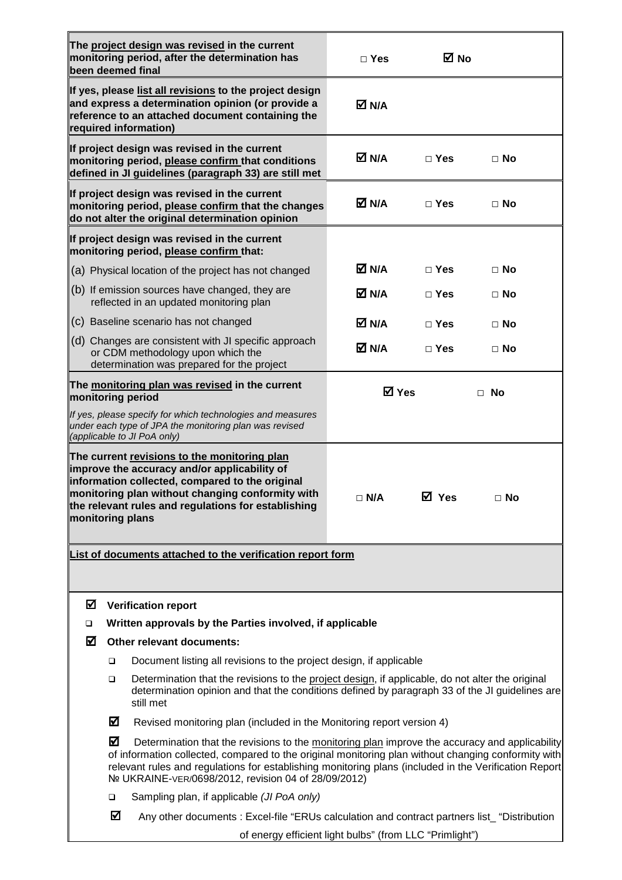|                                                                     |                                                                               | The project design was revised in the current<br>monitoring period, after the determination has<br>been deemed final                                                                                                                                                                                                                                                   | $\Box$ Yes                | ⊠ No          |           |  |
|---------------------------------------------------------------------|-------------------------------------------------------------------------------|------------------------------------------------------------------------------------------------------------------------------------------------------------------------------------------------------------------------------------------------------------------------------------------------------------------------------------------------------------------------|---------------------------|---------------|-----------|--|
|                                                                     |                                                                               | If yes, please list all revisions to the project design<br>and express a determination opinion (or provide a<br>reference to an attached document containing the<br>required information)                                                                                                                                                                              | M N/A                     |               |           |  |
|                                                                     |                                                                               | If project design was revised in the current<br>monitoring period, please confirm that conditions<br>defined in JI guidelines (paragraph 33) are still met                                                                                                                                                                                                             | M N/A                     | $\Box$ Yes    | $\Box$ No |  |
|                                                                     |                                                                               | If project design was revised in the current<br>monitoring period, please confirm that the changes<br>do not alter the original determination opinion                                                                                                                                                                                                                  | M N/A                     | $\square$ Yes | $\Box$ No |  |
|                                                                     |                                                                               | If project design was revised in the current<br>monitoring period, please confirm that:                                                                                                                                                                                                                                                                                |                           |               |           |  |
|                                                                     |                                                                               | (a) Physical location of the project has not changed                                                                                                                                                                                                                                                                                                                   | M N/A                     | $\Box$ Yes    | $\Box$ No |  |
|                                                                     |                                                                               | (b) If emission sources have changed, they are<br>reflected in an updated monitoring plan                                                                                                                                                                                                                                                                              | M N/A                     | $\Box$ Yes    | $\Box$ No |  |
|                                                                     |                                                                               | (c) Baseline scenario has not changed                                                                                                                                                                                                                                                                                                                                  | M N/A                     | $\Box$ Yes    | $\Box$ No |  |
|                                                                     |                                                                               | (d) Changes are consistent with JI specific approach<br>or CDM methodology upon which the<br>determination was prepared for the project                                                                                                                                                                                                                                | M N/A                     | $\Box$ Yes    | $\Box$ No |  |
| The monitoring plan was revised in the current<br>monitoring period |                                                                               |                                                                                                                                                                                                                                                                                                                                                                        | <b>☑</b> Yes<br>$\Box$ No |               |           |  |
|                                                                     |                                                                               | If yes, please specify for which technologies and measures<br>under each type of JPA the monitoring plan was revised<br>(applicable to JI PoA only)                                                                                                                                                                                                                    |                           |               |           |  |
| monitoring plans                                                    |                                                                               | The current revisions to the monitoring plan<br>improve the accuracy and/or applicability of<br>information collected, compared to the original<br>monitoring plan without changing conformity with<br>the relevant rules and regulations for establishing                                                                                                             | $\Box$ N/A                | <b>ØYes</b>   | $\Box$ No |  |
|                                                                     |                                                                               | List of documents attached to the verification report form                                                                                                                                                                                                                                                                                                             |                           |               |           |  |
| ☑                                                                   |                                                                               | <b>Verification report</b>                                                                                                                                                                                                                                                                                                                                             |                           |               |           |  |
| $\Box$                                                              |                                                                               | Written approvals by the Parties involved, if applicable                                                                                                                                                                                                                                                                                                               |                           |               |           |  |
| ☑                                                                   |                                                                               | Other relevant documents:                                                                                                                                                                                                                                                                                                                                              |                           |               |           |  |
|                                                                     | Document listing all revisions to the project design, if applicable<br>$\Box$ |                                                                                                                                                                                                                                                                                                                                                                        |                           |               |           |  |
|                                                                     | ▫                                                                             | Determination that the revisions to the project design, if applicable, do not alter the original<br>determination opinion and that the conditions defined by paragraph 33 of the JI guidelines are<br>still met                                                                                                                                                        |                           |               |           |  |
|                                                                     | ☑                                                                             | Revised monitoring plan (included in the Monitoring report version 4)                                                                                                                                                                                                                                                                                                  |                           |               |           |  |
|                                                                     | ☑                                                                             | Determination that the revisions to the monitoring plan improve the accuracy and applicability<br>of information collected, compared to the original monitoring plan without changing conformity with<br>relevant rules and regulations for establishing monitoring plans (included in the Verification Report<br>Nº UKRAINE-VER/0698/2012, revision 04 of 28/09/2012) |                           |               |           |  |
|                                                                     | ❏                                                                             | Sampling plan, if applicable (JI PoA only)                                                                                                                                                                                                                                                                                                                             |                           |               |           |  |
|                                                                     | ☑                                                                             | Any other documents : Excel-file "ERUs calculation and contract partners list_ "Distribution                                                                                                                                                                                                                                                                           |                           |               |           |  |
|                                                                     |                                                                               | of energy efficient light bulbs" (from LLC "Primlight")                                                                                                                                                                                                                                                                                                                |                           |               |           |  |